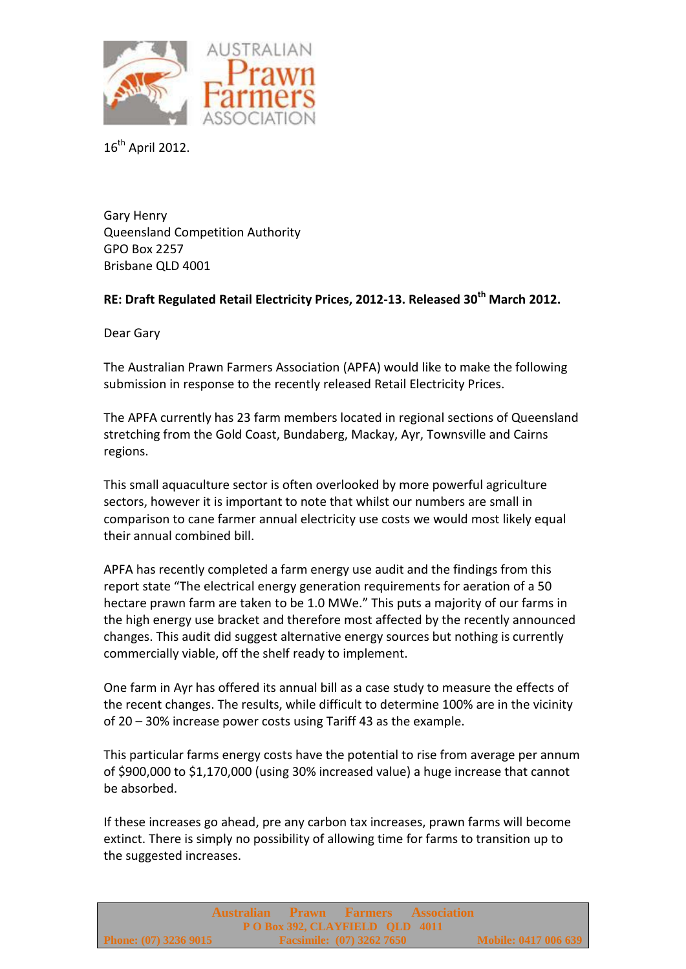

 $16^{th}$  April 2012.

Gary Henry Queensland Competition Authority GPO Box 2257 Brisbane QLD 4001

## **RE: Draft Regulated Retail Electricity Prices, 2012-13. Released 30th March 2012.**

Dear Gary

The Australian Prawn Farmers Association (APFA) would like to make the following submission in response to the recently released Retail Electricity Prices.

The APFA currently has 23 farm members located in regional sections of Queensland stretching from the Gold Coast, Bundaberg, Mackay, Ayr, Townsville and Cairns regions.

This small aquaculture sector is often overlooked by more powerful agriculture sectors, however it is important to note that whilst our numbers are small in comparison to cane farmer annual electricity use costs we would most likely equal their annual combined bill.

APFA has recently completed a farm energy use audit and the findings from this report state "The electrical energy generation requirements for aeration of a 50 hectare prawn farm are taken to be 1.0 MWe." This puts a majority of our farms in the high energy use bracket and therefore most affected by the recently announced changes. This audit did suggest alternative energy sources but nothing is currently commercially viable, off the shelf ready to implement.

One farm in Ayr has offered its annual bill as a case study to measure the effects of the recent changes. The results, while difficult to determine 100% are in the vicinity of 20 – 30% increase power costs using Tariff 43 as the example.

This particular farms energy costs have the potential to rise from average per annum of \$900,000 to \$1,170,000 (using 30% increased value) a huge increase that cannot be absorbed.

If these increases go ahead, pre any carbon tax increases, prawn farms will become extinct. There is simply no possibility of allowing time for farms to transition up to the suggested increases.

|                                | Australian Prawn Farmers Association |  |                                  |  |                             |  |  |  |  |
|--------------------------------|--------------------------------------|--|----------------------------------|--|-----------------------------|--|--|--|--|
| PO Box 392, CLAYFIELD QLD 4011 |                                      |  |                                  |  |                             |  |  |  |  |
| Phone: $(07)$ 3236 9015        |                                      |  | <b>Facsimile:</b> (07) 3262 7650 |  | <b>Mobile: 0417 006 639</b> |  |  |  |  |
|                                |                                      |  |                                  |  |                             |  |  |  |  |